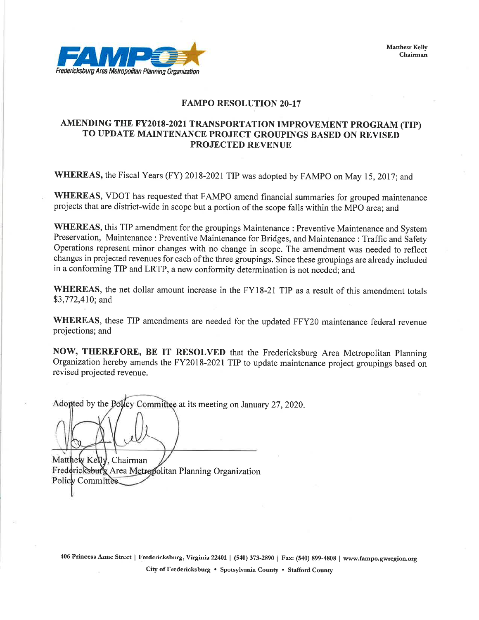**Matthew Kelly** Chairman



#### **FAMPO RESOLUTION 20-17**

#### AMENDING THE FY2018-2021 TRANSPORTATION IMPROVEMENT PROGRAM (TIP) TO UPDATE MAINTENANCE PROJECT GROUPINGS BASED ON REVISED **PROJECTED REVENUE**

WHEREAS, the Fiscal Years (FY) 2018-2021 TIP was adopted by FAMPO on May 15, 2017; and

WHEREAS, VDOT has requested that FAMPO amend financial summaries for grouped maintenance projects that are district-wide in scope but a portion of the scope falls within the MPO area; and

WHEREAS, this TIP amendment for the groupings Maintenance : Preventive Maintenance and System Preservation, Maintenance: Preventive Maintenance for Bridges, and Maintenance: Traffic and Safety Operations represent minor changes with no change in scope. The amendment was needed to reflect changes in projected revenues for each of the three groupings. Since these groupings are already included in a conforming TIP and LRTP, a new conformity determination is not needed; and

WHEREAS, the net dollar amount increase in the FY18-21 TIP as a result of this amendment totals \$3,772,410; and

WHEREAS, these TIP amendments are needed for the updated FFY20 maintenance federal revenue projections; and

NOW, THEREFORE, BE IT RESOLVED that the Fredericksburg Area Metropolitan Planning Organization hereby amends the FY2018-2021 TIP to update maintenance project groupings based on revised projected revenue.

Adopted by the Polley Committee at its meeting on January 27, 2020.

Matthew Kelly, Chairman Fredericksburg Area Metropolitan Planning Organization Policy Committee.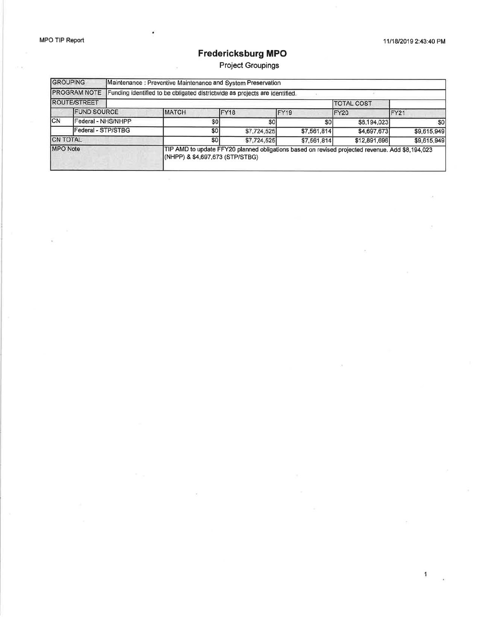$\mathbf{1}$ 

### Fredericksburg MPO

Project Groupings

| <b>GROUPING</b><br><b>PROGRAM NOTE</b> |                     |                                 | Maintenance : Preventive Maintenance and System Preservation                                    |                |                  |                   |                |
|----------------------------------------|---------------------|---------------------------------|-------------------------------------------------------------------------------------------------|----------------|------------------|-------------------|----------------|
|                                        |                     |                                 | Funding identified to be obligated districtwide as projects are identified.                     |                |                  |                   |                |
|                                        | <b>ROUTE/STREET</b> |                                 |                                                                                                 |                |                  | <b>TOTAL COST</b> |                |
|                                        | <b>FUND SOURCE</b>  |                                 | <b>MATCH</b>                                                                                    | IFY18          | FY <sub>19</sub> | FY20              | FY21           |
| ICN                                    | Federal - NHS/NHPP  |                                 | S <sub>0</sub>                                                                                  | S <sub>0</sub> | S <sub>0</sub>   | \$8,194,023       | S <sub>0</sub> |
|                                        | Federal - STP/STBG  |                                 | \$0                                                                                             | \$7,724,525    | \$7,561,814      | \$4,697,673       | \$9,615,949    |
| <b>CN TOTAL</b>                        |                     | \$0l                            | \$7,724,525                                                                                     | \$7,561,814    | \$12,891,696     | \$9,615,949       |                |
| <b>MPO</b> Note                        |                     | (NHPP) & \$4,697,673 (STP/STBG) | TIP AMD to update FFY20 planned obligations based on revised projected revenue. Add \$8,194,023 |                |                  |                   |                |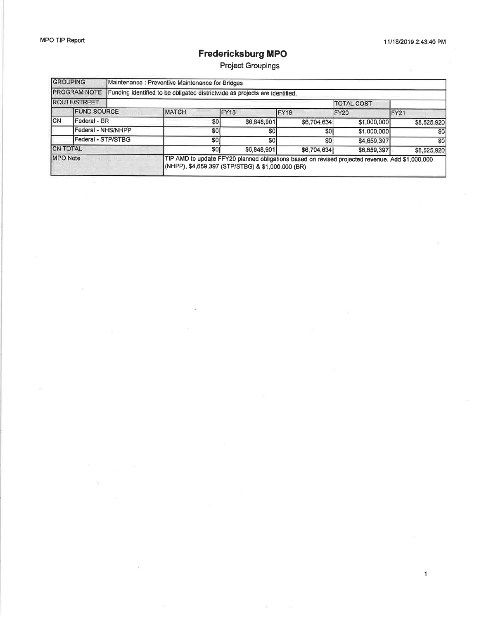$\mathbf{1}$ 

### Fredericksburg MPO

Project Groupings

| <b>GROUPING</b><br><b>PROGRAM NOTE</b> |                     | Maintenance : Preventive Maintenance for Bridges |                                                                             |             |                                                                                                 |                   |             |
|----------------------------------------|---------------------|--------------------------------------------------|-----------------------------------------------------------------------------|-------------|-------------------------------------------------------------------------------------------------|-------------------|-------------|
|                                        |                     |                                                  | Funding identified to be obligated districtwide as projects are identified. |             |                                                                                                 |                   |             |
|                                        | <b>ROUTE/STREET</b> |                                                  |                                                                             |             |                                                                                                 | <b>TOTAL COST</b> |             |
|                                        | <b>FUND SOURCE</b>  |                                                  | <b>MATCH</b>                                                                | FY18        | FY <sub>19</sub>                                                                                | FY20              | IFY21       |
| CN                                     | Federal - BR        |                                                  | \$O                                                                         | \$6,848,901 | \$6,704,634                                                                                     | \$1,000,000       | \$8,525,920 |
|                                        | Federal - NHS/NHPP  |                                                  | \$0                                                                         | \$0l        | \$0                                                                                             | \$1,000,000       | \$0         |
|                                        | Federal - STP/STBG  |                                                  | \$0                                                                         | SOI         | S <sub>0</sub>                                                                                  | \$4,659,397       | \$0         |
| <b>CN TOTAL</b>                        |                     | \$0                                              | \$6,848,901                                                                 | \$6,704,634 | \$6,659,397                                                                                     | \$8,525,920       |             |
| <b>MPO</b> Note                        |                     |                                                  | (NHPP), \$4,659,397 (STP/STBG) & \$1,000,000 (BR)                           |             | TIP AMD to update FFY20 planned obligations based on revised projected revenue. Add \$1,000,000 |                   |             |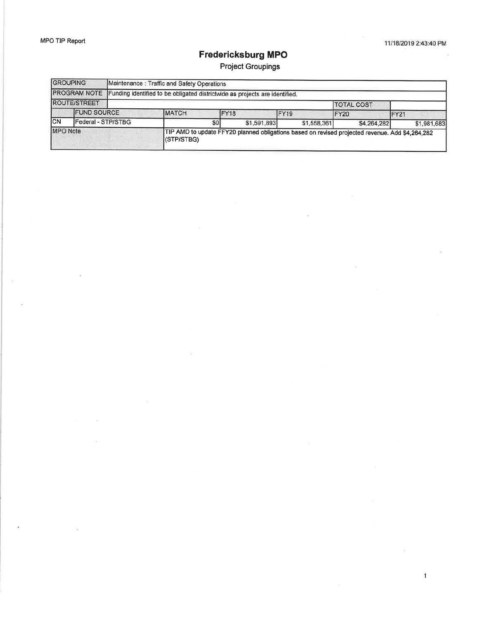### **Fredericksburg MPO**

Project Groupings

| <b>GROUPING</b>     |                     |             | Maintenance: Traffic and Safety Operations                                  |                  |                                                                                                 |                   |             |
|---------------------|---------------------|-------------|-----------------------------------------------------------------------------|------------------|-------------------------------------------------------------------------------------------------|-------------------|-------------|
| <b>PROGRAM NOTE</b> |                     |             | Funding identified to be obligated districtwide as projects are identified. |                  |                                                                                                 |                   |             |
|                     | <b>ROUTE/STREET</b> |             |                                                                             |                  |                                                                                                 | <b>TOTAL COST</b> |             |
|                     | <b>FUND SOURCE</b>  |             | <b>IMATCH</b>                                                               | FY <sub>18</sub> | FY <sub>19</sub>                                                                                | FY20              | FY21        |
| ICN                 | Federal - STP/STBG  |             | <b>SOI</b>                                                                  | \$1,591,893      | \$1,558,361                                                                                     | \$4,264,282       | \$1,981,683 |
| <b>MPO</b> Note     |                     | I(STP/STBG) |                                                                             |                  | TIP AMD to update FFY20 planned obligations based on revised projected revenue. Add \$4,264,282 |                   |             |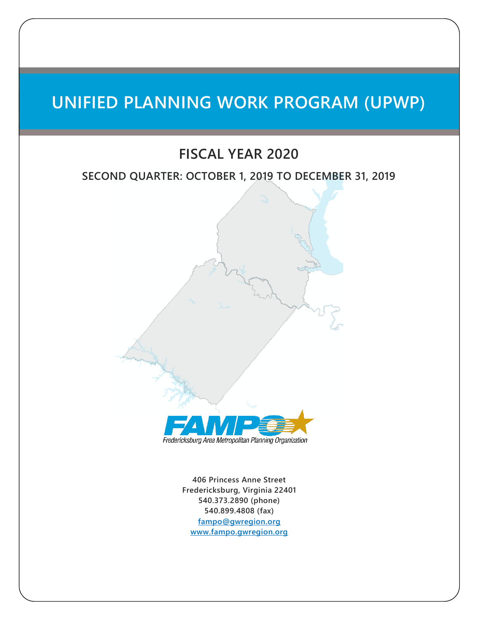# **UNIFIED PLANNING WORK PROGRAM (UPWP)**

### **FISCAL YEAR 2020**

#### **SECOND QUARTER: OCTOBER 1, 2019 TO DECEMBER 31, 2019**



Fredericksburg Area Metropolitan Planning Organization

**406 Princess Anne Street Fredericksburg, Virginia 22401 540.373.2890 (phone) 540.899.4808 (fax) [fampo@gwregion.org](mailto:fampo@gwregion.org) [www.fampo.gwregion.org](http://www.fampo.gwregion.org/)**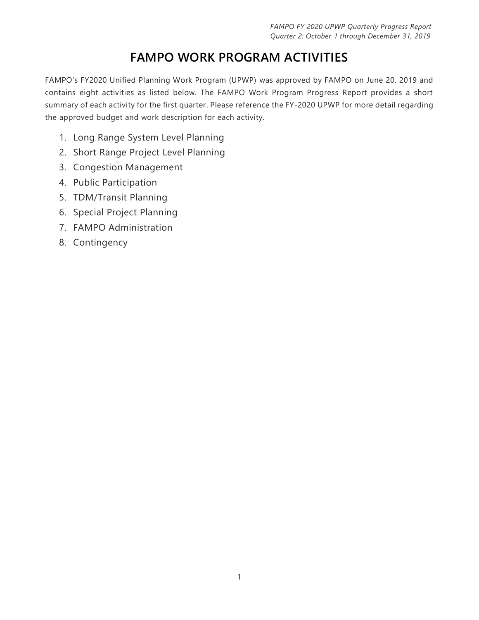# **FAMPO WORK PROGRAM ACTIVITIES**

FAMPO's FY2020 Unified Planning Work Program (UPWP) was approved by FAMPO on June 20, 2019 and contains eight activities as listed below. The FAMPO Work Program Progress Report provides a short summary of each activity for the first quarter. Please reference the FY-2020 UPWP for more detail regarding the approved budget and work description for each activity.

- 1. Long Range System Level Planning
- 2. Short Range Project Level Planning
- 3. Congestion Management
- 4. Public Participation
- 5. TDM/Transit Planning
- 6. Special Project Planning
- 7. FAMPO Administration
- 8. Contingency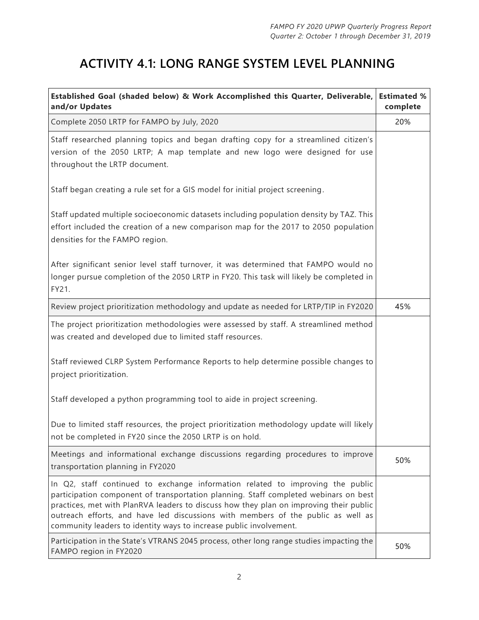### **ACTIVITY 4.1: LONG RANGE SYSTEM LEVEL PLANNING**

| Established Goal (shaded below) & Work Accomplished this Quarter, Deliverable,<br>and/or Updates                                                                                                                                                                                                                                                                                                                           | <b>Estimated %</b><br>complete |
|----------------------------------------------------------------------------------------------------------------------------------------------------------------------------------------------------------------------------------------------------------------------------------------------------------------------------------------------------------------------------------------------------------------------------|--------------------------------|
| Complete 2050 LRTP for FAMPO by July, 2020                                                                                                                                                                                                                                                                                                                                                                                 | 20%                            |
| Staff researched planning topics and began drafting copy for a streamlined citizen's<br>version of the 2050 LRTP; A map template and new logo were designed for use<br>throughout the LRTP document.                                                                                                                                                                                                                       |                                |
| Staff began creating a rule set for a GIS model for initial project screening.                                                                                                                                                                                                                                                                                                                                             |                                |
| Staff updated multiple socioeconomic datasets including population density by TAZ. This<br>effort included the creation of a new comparison map for the 2017 to 2050 population<br>densities for the FAMPO region.                                                                                                                                                                                                         |                                |
| After significant senior level staff turnover, it was determined that FAMPO would no<br>longer pursue completion of the 2050 LRTP in FY20. This task will likely be completed in<br>FY21.                                                                                                                                                                                                                                  |                                |
| Review project prioritization methodology and update as needed for LRTP/TIP in FY2020                                                                                                                                                                                                                                                                                                                                      | 45%                            |
| The project prioritization methodologies were assessed by staff. A streamlined method<br>was created and developed due to limited staff resources.                                                                                                                                                                                                                                                                         |                                |
| Staff reviewed CLRP System Performance Reports to help determine possible changes to<br>project prioritization.                                                                                                                                                                                                                                                                                                            |                                |
| Staff developed a python programming tool to aide in project screening.                                                                                                                                                                                                                                                                                                                                                    |                                |
| Due to limited staff resources, the project prioritization methodology update will likely<br>not be completed in FY20 since the 2050 LRTP is on hold.                                                                                                                                                                                                                                                                      |                                |
| Meetings and informational exchange discussions regarding procedures to improve<br>transportation planning in FY2020                                                                                                                                                                                                                                                                                                       | 50%                            |
| In Q2, staff continued to exchange information related to improving the public<br>participation component of transportation planning. Staff completed webinars on best<br>practices, met with PlanRVA leaders to discuss how they plan on improving their public<br>outreach efforts, and have led discussions with members of the public as well as<br>community leaders to identity ways to increase public involvement. |                                |
| Participation in the State's VTRANS 2045 process, other long range studies impacting the<br>FAMPO region in FY2020                                                                                                                                                                                                                                                                                                         | 50%                            |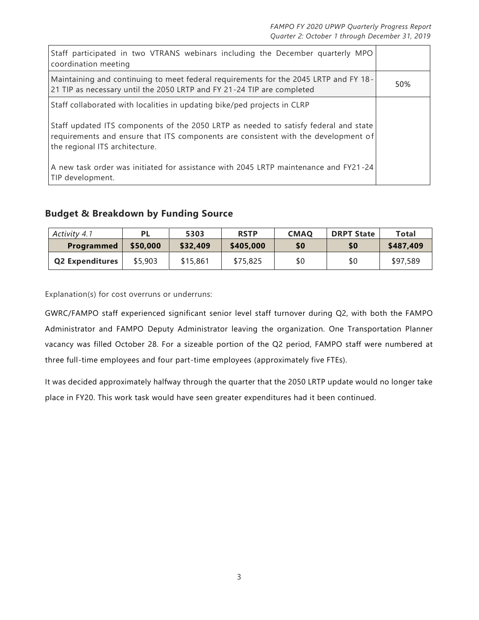| Staff participated in two VTRANS webinars including the December quarterly MPO<br>coordination meeting                                                                                                       |     |
|--------------------------------------------------------------------------------------------------------------------------------------------------------------------------------------------------------------|-----|
| Maintaining and continuing to meet federal requirements for the 2045 LRTP and FY 18-<br>21 TIP as necessary until the 2050 LRTP and FY 21-24 TIP are completed                                               | 50% |
| Staff collaborated with localities in updating bike/ped projects in CLRP                                                                                                                                     |     |
| Staff updated ITS components of the 2050 LRTP as needed to satisfy federal and state<br>requirements and ensure that ITS components are consistent with the development of<br>the regional ITS architecture. |     |
| A new task order was initiated for assistance with 2045 LRTP maintenance and FY21-24<br>TIP development.                                                                                                     |     |

#### **Budget & Breakdown by Funding Source**

| Activity 4.1           | <b>PL</b> | 5303     | <b>RSTP</b> | <b>CMAQ</b> | <b>DRPT State</b> | Total     |
|------------------------|-----------|----------|-------------|-------------|-------------------|-----------|
| <b>Programmed</b>      | \$50,000  | \$32,409 | \$405,000   | \$0         | \$0               | \$487,409 |
| <b>Q2 Expenditures</b> | \$5,903   | \$15,861 | \$75,825    | \$0         | \$0               | \$97,589  |

Explanation(s) for cost overruns or underruns:

GWRC/FAMPO staff experienced significant senior level staff turnover during Q2, with both the FAMPO Administrator and FAMPO Deputy Administrator leaving the organization. One Transportation Planner vacancy was filled October 28. For a sizeable portion of the Q2 period, FAMPO staff were numbered at three full-time employees and four part-time employees (approximately five FTEs).

It was decided approximately halfway through the quarter that the 2050 LRTP update would no longer take place in FY20. This work task would have seen greater expenditures had it been continued.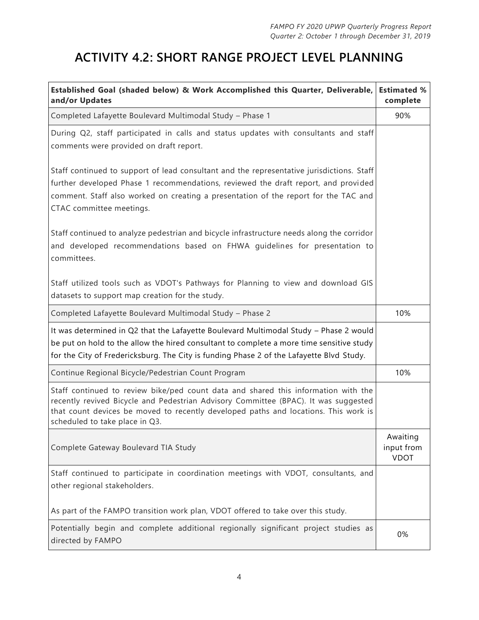# **ACTIVITY 4.2: SHORT RANGE PROJECT LEVEL PLANNING**

| Established Goal (shaded below) & Work Accomplished this Quarter, Deliverable, Estimated %<br>and/or Updates                                                                                                                                                                                       | complete                              |
|----------------------------------------------------------------------------------------------------------------------------------------------------------------------------------------------------------------------------------------------------------------------------------------------------|---------------------------------------|
| Completed Lafayette Boulevard Multimodal Study - Phase 1                                                                                                                                                                                                                                           | 90%                                   |
| During Q2, staff participated in calls and status updates with consultants and staff<br>comments were provided on draft report.                                                                                                                                                                    |                                       |
| Staff continued to support of lead consultant and the representative jurisdictions. Staff<br>further developed Phase 1 recommendations, reviewed the draft report, and provided<br>comment. Staff also worked on creating a presentation of the report for the TAC and<br>CTAC committee meetings. |                                       |
| Staff continued to analyze pedestrian and bicycle infrastructure needs along the corridor<br>and developed recommendations based on FHWA guidelines for presentation to<br>committees.                                                                                                             |                                       |
| Staff utilized tools such as VDOT's Pathways for Planning to view and download GIS<br>datasets to support map creation for the study.                                                                                                                                                              |                                       |
| Completed Lafayette Boulevard Multimodal Study - Phase 2                                                                                                                                                                                                                                           | 10%                                   |
| It was determined in Q2 that the Lafayette Boulevard Multimodal Study - Phase 2 would<br>be put on hold to the allow the hired consultant to complete a more time sensitive study<br>for the City of Fredericksburg. The City is funding Phase 2 of the Lafayette Blvd Study.                      |                                       |
| Continue Regional Bicycle/Pedestrian Count Program                                                                                                                                                                                                                                                 | 10%                                   |
| Staff continued to review bike/ped count data and shared this information with the<br>recently revived Bicycle and Pedestrian Advisory Committee (BPAC). It was suggested<br>that count devices be moved to recently developed paths and locations. This work is<br>scheduled to take place in Q3. |                                       |
| Complete Gateway Boulevard TIA Study                                                                                                                                                                                                                                                               | Awaiting<br>input from<br><b>VDOT</b> |
| Staff continued to participate in coordination meetings with VDOT, consultants, and<br>other regional stakeholders.                                                                                                                                                                                |                                       |
| As part of the FAMPO transition work plan, VDOT offered to take over this study.                                                                                                                                                                                                                   |                                       |
| Potentially begin and complete additional regionally significant project studies as<br>directed by FAMPO                                                                                                                                                                                           | 0%                                    |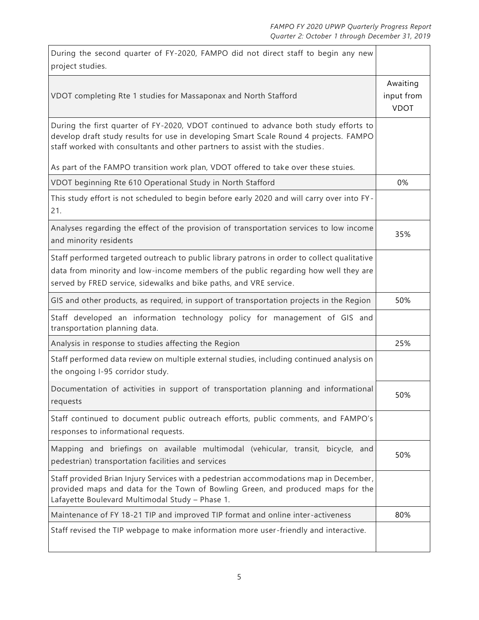| During the second quarter of FY-2020, FAMPO did not direct staff to begin any new<br>project studies.                                                                                                                                                         |                                       |
|---------------------------------------------------------------------------------------------------------------------------------------------------------------------------------------------------------------------------------------------------------------|---------------------------------------|
| VDOT completing Rte 1 studies for Massaponax and North Stafford                                                                                                                                                                                               | Awaiting<br>input from<br><b>VDOT</b> |
| During the first quarter of FY-2020, VDOT continued to advance both study efforts to<br>develop draft study results for use in developing Smart Scale Round 4 projects. FAMPO<br>staff worked with consultants and other partners to assist with the studies. |                                       |
| As part of the FAMPO transition work plan, VDOT offered to take over these stuies.                                                                                                                                                                            |                                       |
| VDOT beginning Rte 610 Operational Study in North Stafford                                                                                                                                                                                                    | 0%                                    |
| This study effort is not scheduled to begin before early 2020 and will carry over into FY-<br>21.                                                                                                                                                             |                                       |
| Analyses regarding the effect of the provision of transportation services to low income<br>and minority residents                                                                                                                                             | 35%                                   |
| Staff performed targeted outreach to public library patrons in order to collect qualitative<br>data from minority and low-income members of the public regarding how well they are<br>served by FRED service, sidewalks and bike paths, and VRE service.      |                                       |
| GIS and other products, as required, in support of transportation projects in the Region                                                                                                                                                                      | 50%                                   |
| Staff developed an information technology policy for management of GIS and<br>transportation planning data.                                                                                                                                                   |                                       |
| Analysis in response to studies affecting the Region                                                                                                                                                                                                          | 25%                                   |
| Staff performed data review on multiple external studies, including continued analysis on<br>the ongoing I-95 corridor study.                                                                                                                                 |                                       |
| Documentation of activities in support of transportation planning and informational<br>requests                                                                                                                                                               | 50%                                   |
| Staff continued to document public outreach efforts, public comments, and FAMPO's<br>responses to informational requests.                                                                                                                                     |                                       |
| Mapping and briefings on available multimodal (vehicular, transit, bicycle, and<br>pedestrian) transportation facilities and services                                                                                                                         | 50%                                   |
| Staff provided Brian Injury Services with a pedestrian accommodations map in December,<br>provided maps and data for the Town of Bowling Green, and produced maps for the<br>Lafayette Boulevard Multimodal Study - Phase 1.                                  |                                       |
| Maintenance of FY 18-21 TIP and improved TIP format and online inter-activeness                                                                                                                                                                               | 80%                                   |
| Staff revised the TIP webpage to make information more user-friendly and interactive.                                                                                                                                                                         |                                       |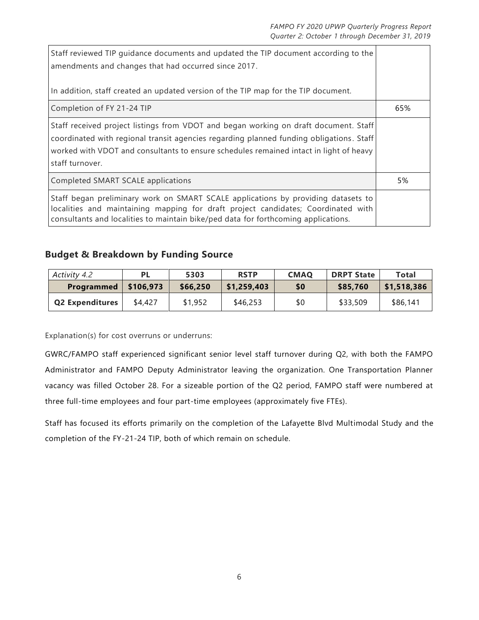| Staff reviewed TIP guidance documents and updated the TIP document according to the<br>amendments and changes that had occurred since 2017.                                                                                                                                                  |     |
|----------------------------------------------------------------------------------------------------------------------------------------------------------------------------------------------------------------------------------------------------------------------------------------------|-----|
| In addition, staff created an updated version of the TIP map for the TIP document.                                                                                                                                                                                                           |     |
| Completion of FY 21-24 TIP                                                                                                                                                                                                                                                                   | 65% |
| Staff received project listings from VDOT and began working on draft document. Staff<br>coordinated with regional transit agencies regarding planned funding obligations. Staff<br>worked with VDOT and consultants to ensure schedules remained intact in light of heavy<br>staff turnover. |     |
| Completed SMART SCALE applications                                                                                                                                                                                                                                                           | 5%  |
| Staff began preliminary work on SMART SCALE applications by providing datasets to<br>localities and maintaining mapping for draft project candidates; Coordinated with<br>consultants and localities to maintain bike/ped data for forthcoming applications.                                 |     |

#### **Budget & Breakdown by Funding Source**

| Activity 4.2           | <b>PL</b> | 5303     | <b>RSTP</b> | <b>CMAQ</b> | <b>DRPT State</b> | Total       |
|------------------------|-----------|----------|-------------|-------------|-------------------|-------------|
| <b>Programmed</b>      | \$106,973 | \$66,250 | \$1,259,403 | \$0         | \$85,760          | \$1,518,386 |
| <b>Q2 Expenditures</b> | \$4,427   | \$1,952  | \$46,253    | \$0         | \$33,509          | \$86,141    |

Explanation(s) for cost overruns or underruns:

GWRC/FAMPO staff experienced significant senior level staff turnover during Q2, with both the FAMPO Administrator and FAMPO Deputy Administrator leaving the organization. One Transportation Planner vacancy was filled October 28. For a sizeable portion of the Q2 period, FAMPO staff were numbered at three full-time employees and four part-time employees (approximately five FTEs).

Staff has focused its efforts primarily on the completion of the Lafayette Blvd Multimodal Study and the completion of the FY-21-24 TIP, both of which remain on schedule.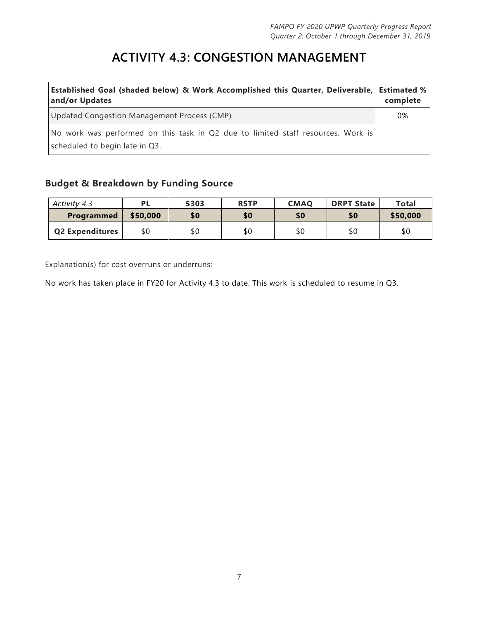# **ACTIVITY 4.3: CONGESTION MANAGEMENT**

| Established Goal (shaded below) & Work Accomplished this Quarter, Deliverable, Estimated %<br>and/or Updates       | complete |
|--------------------------------------------------------------------------------------------------------------------|----------|
| Updated Congestion Management Process (CMP)                                                                        | 0%       |
| No work was performed on this task in Q2 due to limited staff resources. Work is<br>scheduled to begin late in Q3. |          |

#### **Budget & Breakdown by Funding Source**

| Activity 4.3           | <b>PL</b> | 5303 | <b>RSTP</b> | <b>CMAQ</b> | <b>DRPT State</b> | <b>Total</b> |
|------------------------|-----------|------|-------------|-------------|-------------------|--------------|
| Programmed             | \$50,000  | \$0  | \$0         | \$0         | \$0               | \$50,000     |
| <b>Q2 Expenditures</b> | \$0       | \$0  | \$0         | \$0         | \$0               | \$0          |

Explanation(s) for cost overruns or underruns:

No work has taken place in FY20 for Activity 4.3 to date. This work is scheduled to resume in Q3.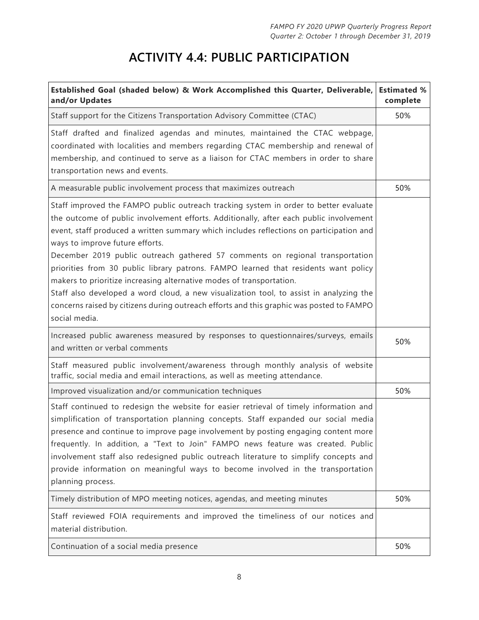# **ACTIVITY 4.4: PUBLIC PARTICIPATION**

| Established Goal (shaded below) & Work Accomplished this Quarter, Deliverable, Estimated %<br>and/or Updates                                                                                                                                                                                                                                                                                                                                                                                                                                                                                                                                                                                                                                                         | complete |
|----------------------------------------------------------------------------------------------------------------------------------------------------------------------------------------------------------------------------------------------------------------------------------------------------------------------------------------------------------------------------------------------------------------------------------------------------------------------------------------------------------------------------------------------------------------------------------------------------------------------------------------------------------------------------------------------------------------------------------------------------------------------|----------|
| Staff support for the Citizens Transportation Advisory Committee (CTAC)                                                                                                                                                                                                                                                                                                                                                                                                                                                                                                                                                                                                                                                                                              | 50%      |
| Staff drafted and finalized agendas and minutes, maintained the CTAC webpage,<br>coordinated with localities and members regarding CTAC membership and renewal of<br>membership, and continued to serve as a liaison for CTAC members in order to share<br>transportation news and events.                                                                                                                                                                                                                                                                                                                                                                                                                                                                           |          |
| A measurable public involvement process that maximizes outreach                                                                                                                                                                                                                                                                                                                                                                                                                                                                                                                                                                                                                                                                                                      | 50%      |
| Staff improved the FAMPO public outreach tracking system in order to better evaluate<br>the outcome of public involvement efforts. Additionally, after each public involvement<br>event, staff produced a written summary which includes reflections on participation and<br>ways to improve future efforts.<br>December 2019 public outreach gathered 57 comments on regional transportation<br>priorities from 30 public library patrons. FAMPO learned that residents want policy<br>makers to prioritize increasing alternative modes of transportation.<br>Staff also developed a word cloud, a new visualization tool, to assist in analyzing the<br>concerns raised by citizens during outreach efforts and this graphic was posted to FAMPO<br>social media. |          |
| Increased public awareness measured by responses to questionnaires/surveys, emails<br>and written or verbal comments                                                                                                                                                                                                                                                                                                                                                                                                                                                                                                                                                                                                                                                 | 50%      |
| Staff measured public involvement/awareness through monthly analysis of website<br>traffic, social media and email interactions, as well as meeting attendance.                                                                                                                                                                                                                                                                                                                                                                                                                                                                                                                                                                                                      |          |
| Improved visualization and/or communication techniques                                                                                                                                                                                                                                                                                                                                                                                                                                                                                                                                                                                                                                                                                                               | 50%      |
| Staff continued to redesign the website for easier retrieval of timely information and<br>simplification of transportation planning concepts. Staff expanded our social media<br>presence and continue to improve page involvement by posting engaging content more<br>frequently. In addition, a "Text to Join" FAMPO news feature was created. Public<br>involvement staff also redesigned public outreach literature to simplify concepts and<br>provide information on meaningful ways to become involved in the transportation<br>planning process.                                                                                                                                                                                                             |          |
| Timely distribution of MPO meeting notices, agendas, and meeting minutes                                                                                                                                                                                                                                                                                                                                                                                                                                                                                                                                                                                                                                                                                             | 50%      |
| Staff reviewed FOIA requirements and improved the timeliness of our notices and<br>material distribution.                                                                                                                                                                                                                                                                                                                                                                                                                                                                                                                                                                                                                                                            |          |
| Continuation of a social media presence                                                                                                                                                                                                                                                                                                                                                                                                                                                                                                                                                                                                                                                                                                                              | 50%      |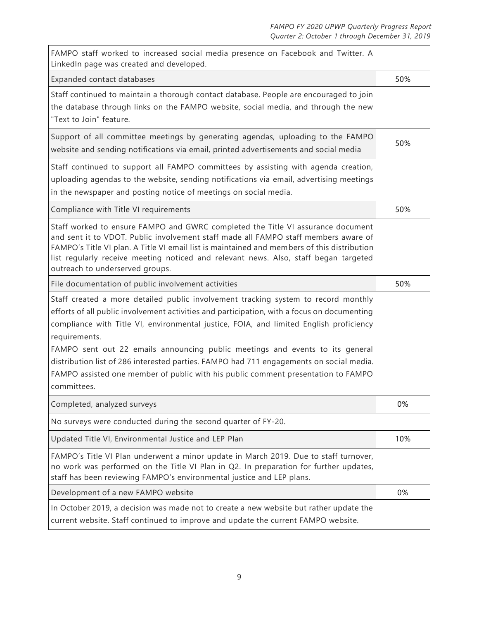| FAMPO staff worked to increased social media presence on Facebook and Twitter. A<br>LinkedIn page was created and developed.                                                                                                                                                                                                                                                                                                                                                                                                                                                 |     |
|------------------------------------------------------------------------------------------------------------------------------------------------------------------------------------------------------------------------------------------------------------------------------------------------------------------------------------------------------------------------------------------------------------------------------------------------------------------------------------------------------------------------------------------------------------------------------|-----|
| Expanded contact databases                                                                                                                                                                                                                                                                                                                                                                                                                                                                                                                                                   | 50% |
| Staff continued to maintain a thorough contact database. People are encouraged to join<br>the database through links on the FAMPO website, social media, and through the new<br>"Text to Join" feature.                                                                                                                                                                                                                                                                                                                                                                      |     |
| Support of all committee meetings by generating agendas, uploading to the FAMPO<br>website and sending notifications via email, printed advertisements and social media                                                                                                                                                                                                                                                                                                                                                                                                      | 50% |
| Staff continued to support all FAMPO committees by assisting with agenda creation,<br>uploading agendas to the website, sending notifications via email, advertising meetings<br>in the newspaper and posting notice of meetings on social media.                                                                                                                                                                                                                                                                                                                            |     |
| Compliance with Title VI requirements                                                                                                                                                                                                                                                                                                                                                                                                                                                                                                                                        | 50% |
| Staff worked to ensure FAMPO and GWRC completed the Title VI assurance document<br>and sent it to VDOT. Public involvement staff made all FAMPO staff members aware of<br>FAMPO's Title VI plan. A Title VI email list is maintained and members of this distribution<br>list regularly receive meeting noticed and relevant news. Also, staff began targeted<br>outreach to underserved groups.                                                                                                                                                                             |     |
| File documentation of public involvement activities                                                                                                                                                                                                                                                                                                                                                                                                                                                                                                                          | 50% |
| Staff created a more detailed public involvement tracking system to record monthly<br>efforts of all public involvement activities and participation, with a focus on documenting<br>compliance with Title VI, environmental justice, FOIA, and limited English proficiency<br>requirements.<br>FAMPO sent out 22 emails announcing public meetings and events to its general<br>distribution list of 286 interested parties. FAMPO had 711 engagements on social media.<br>FAMPO assisted one member of public with his public comment presentation to FAMPO<br>committees. |     |
| Completed, analyzed surveys                                                                                                                                                                                                                                                                                                                                                                                                                                                                                                                                                  | 0%  |
| No surveys were conducted during the second quarter of FY-20.                                                                                                                                                                                                                                                                                                                                                                                                                                                                                                                |     |
| Updated Title VI, Environmental Justice and LEP Plan                                                                                                                                                                                                                                                                                                                                                                                                                                                                                                                         | 10% |
| FAMPO's Title VI Plan underwent a minor update in March 2019. Due to staff turnover,<br>no work was performed on the Title VI Plan in Q2. In preparation for further updates,<br>staff has been reviewing FAMPO's environmental justice and LEP plans.                                                                                                                                                                                                                                                                                                                       |     |
| Development of a new FAMPO website                                                                                                                                                                                                                                                                                                                                                                                                                                                                                                                                           | 0%  |
| In October 2019, a decision was made not to create a new website but rather update the<br>current website. Staff continued to improve and update the current FAMPO website.                                                                                                                                                                                                                                                                                                                                                                                                  |     |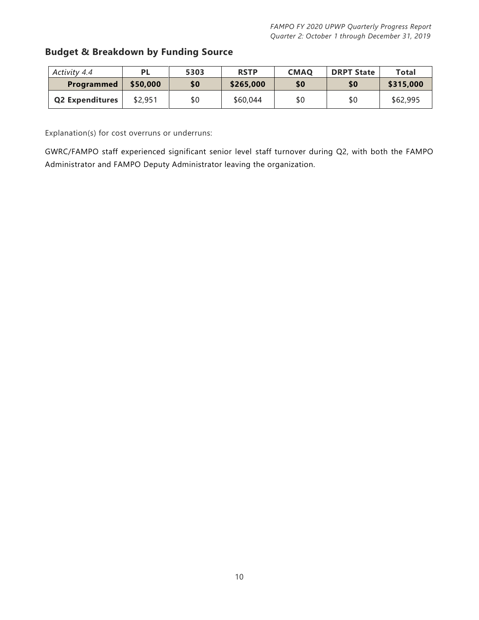#### **Budget & Breakdown by Funding Source**

| Activity 4.4           |          | 5303 | <b>RSTP</b> | <b>CMAO</b> | <b>DRPT State</b> | Total     |
|------------------------|----------|------|-------------|-------------|-------------------|-----------|
| Programmed             | \$50,000 | \$0  | \$265,000   | \$0         | \$0               | \$315,000 |
| <b>Q2 Expenditures</b> | \$2,951  | \$0  | \$60,044    | \$0         | \$0               | \$62,995  |

Explanation(s) for cost overruns or underruns:

GWRC/FAMPO staff experienced significant senior level staff turnover during Q2, with both the FAMPO Administrator and FAMPO Deputy Administrator leaving the organization.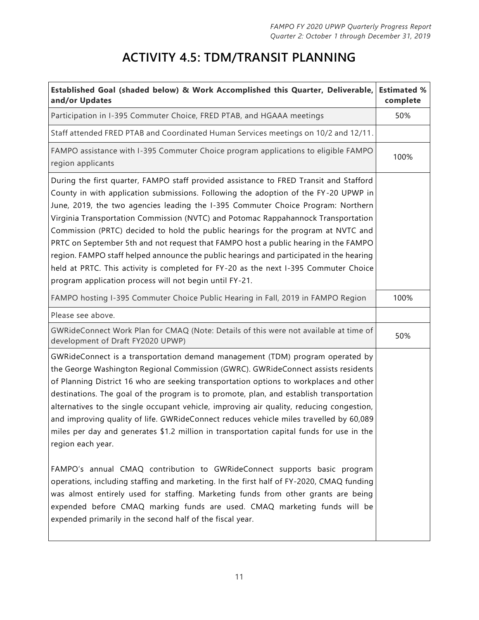# **ACTIVITY 4.5: TDM/TRANSIT PLANNING**

| Established Goal (shaded below) & Work Accomplished this Quarter, Deliverable,<br>and/or Updates                                                                                                                                                                                                                                                                                                                                                                                                                                                                                                                                                                                                                                                                                 | <b>Estimated %</b><br>complete |
|----------------------------------------------------------------------------------------------------------------------------------------------------------------------------------------------------------------------------------------------------------------------------------------------------------------------------------------------------------------------------------------------------------------------------------------------------------------------------------------------------------------------------------------------------------------------------------------------------------------------------------------------------------------------------------------------------------------------------------------------------------------------------------|--------------------------------|
| Participation in I-395 Commuter Choice, FRED PTAB, and HGAAA meetings                                                                                                                                                                                                                                                                                                                                                                                                                                                                                                                                                                                                                                                                                                            | 50%                            |
| Staff attended FRED PTAB and Coordinated Human Services meetings on 10/2 and 12/11.                                                                                                                                                                                                                                                                                                                                                                                                                                                                                                                                                                                                                                                                                              |                                |
| FAMPO assistance with I-395 Commuter Choice program applications to eligible FAMPO<br>region applicants                                                                                                                                                                                                                                                                                                                                                                                                                                                                                                                                                                                                                                                                          | 100%                           |
| During the first quarter, FAMPO staff provided assistance to FRED Transit and Stafford<br>County in with application submissions. Following the adoption of the FY-20 UPWP in<br>June, 2019, the two agencies leading the I-395 Commuter Choice Program: Northern<br>Virginia Transportation Commission (NVTC) and Potomac Rappahannock Transportation<br>Commission (PRTC) decided to hold the public hearings for the program at NVTC and<br>PRTC on September 5th and not request that FAMPO host a public hearing in the FAMPO<br>region. FAMPO staff helped announce the public hearings and participated in the hearing<br>held at PRTC. This activity is completed for FY-20 as the next I-395 Commuter Choice<br>program application process will not begin until FY-21. |                                |
| FAMPO hosting I-395 Commuter Choice Public Hearing in Fall, 2019 in FAMPO Region                                                                                                                                                                                                                                                                                                                                                                                                                                                                                                                                                                                                                                                                                                 | 100%                           |
| Please see above.                                                                                                                                                                                                                                                                                                                                                                                                                                                                                                                                                                                                                                                                                                                                                                |                                |
| GWRideConnect Work Plan for CMAQ (Note: Details of this were not available at time of<br>development of Draft FY2020 UPWP)                                                                                                                                                                                                                                                                                                                                                                                                                                                                                                                                                                                                                                                       | 50%                            |
| GWRideConnect is a transportation demand management (TDM) program operated by<br>the George Washington Regional Commission (GWRC). GWRideConnect assists residents<br>of Planning District 16 who are seeking transportation options to workplaces and other<br>destinations. The goal of the program is to promote, plan, and establish transportation<br>alternatives to the single occupant vehicle, improving air quality, reducing congestion,<br>and improving quality of life. GWRideConnect reduces vehicle miles travelled by 60,089<br>miles per day and generates \$1.2 million in transportation capital funds for use in the<br>region each year.                                                                                                                   |                                |
| FAMPO's annual CMAQ contribution to GWRideConnect supports basic program<br>operations, including staffing and marketing. In the first half of FY-2020, CMAQ funding<br>was almost entirely used for staffing. Marketing funds from other grants are being<br>expended before CMAQ marking funds are used. CMAQ marketing funds will be<br>expended primarily in the second half of the fiscal year.                                                                                                                                                                                                                                                                                                                                                                             |                                |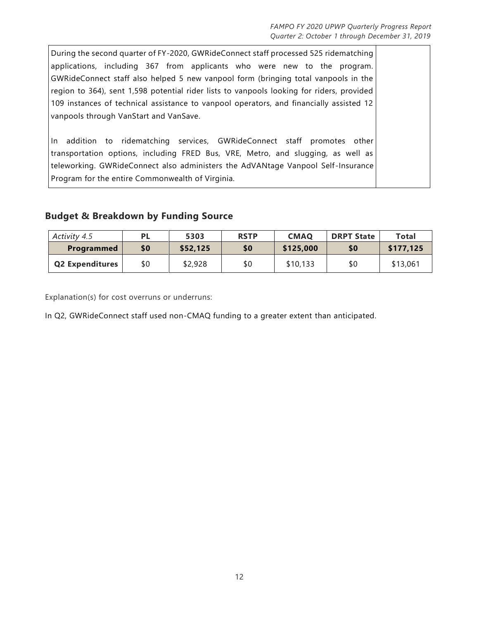During the second quarter of FY-2020, GWRideConnect staff processed 525 ridematching applications, including 367 from applicants who were new to the program. GWRideConnect staff also helped 5 new vanpool form (bringing total vanpools in the region to 364), sent 1,598 potential rider lists to vanpools looking for riders, provided 109 instances of technical assistance to vanpool operators, and financially assisted 12 vanpools through VanStart and VanSave. In addition to ridematching services, GWRideConnect staff promotes other transportation options, including FRED Bus, VRE, Metro, and slugging, as well as teleworking. GWRideConnect also administers the AdVANtage Vanpool Self -Insurance Program for the entire Commonwealth of Virginia.

#### **Budget & Breakdown by Funding Source**

| Activity 4.5           | <b>PL</b> | 5303     | <b>RSTP</b> | <b>CMAO</b> | <b>DRPT State</b> | Total     |
|------------------------|-----------|----------|-------------|-------------|-------------------|-----------|
| <b>Programmed</b>      | \$0       | \$52,125 | \$0         | \$125,000   | \$0               | \$177,125 |
| <b>Q2 Expenditures</b> | \$0       | \$2,928  | \$0         | \$10.133    | \$0               | \$13,061  |

Explanation(s) for cost overruns or underruns:

In Q2, GWRideConnect staff used non-CMAQ funding to a greater extent than anticipated.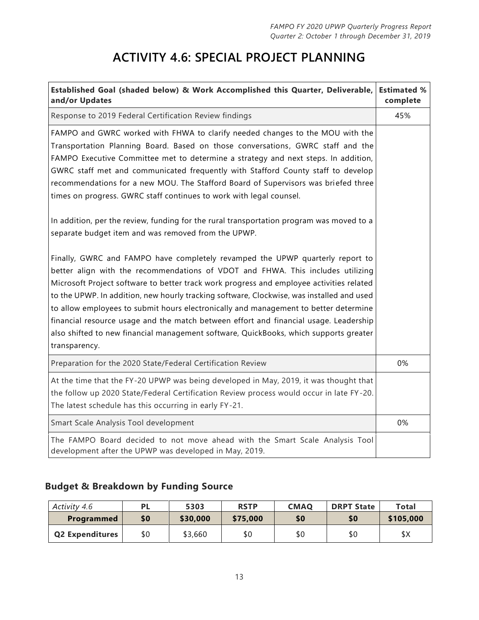### **ACTIVITY 4.6: SPECIAL PROJECT PLANNING**

| Established Goal (shaded below) & Work Accomplished this Quarter, Deliverable,<br>and/or Updates                                                                                                                                                                                                                                                                                                                                                                                                                                                                                                                                                                                                                                                                                                                                                                                                                                                                                                                                                                                                                                                                                                                                                                                                                   | <b>Estimated %</b><br>complete |
|--------------------------------------------------------------------------------------------------------------------------------------------------------------------------------------------------------------------------------------------------------------------------------------------------------------------------------------------------------------------------------------------------------------------------------------------------------------------------------------------------------------------------------------------------------------------------------------------------------------------------------------------------------------------------------------------------------------------------------------------------------------------------------------------------------------------------------------------------------------------------------------------------------------------------------------------------------------------------------------------------------------------------------------------------------------------------------------------------------------------------------------------------------------------------------------------------------------------------------------------------------------------------------------------------------------------|--------------------------------|
| Response to 2019 Federal Certification Review findings                                                                                                                                                                                                                                                                                                                                                                                                                                                                                                                                                                                                                                                                                                                                                                                                                                                                                                                                                                                                                                                                                                                                                                                                                                                             | 45%                            |
| FAMPO and GWRC worked with FHWA to clarify needed changes to the MOU with the<br>Transportation Planning Board. Based on those conversations, GWRC staff and the<br>FAMPO Executive Committee met to determine a strategy and next steps. In addition,<br>GWRC staff met and communicated frequently with Stafford County staff to develop<br>recommendations for a new MOU. The Stafford Board of Supervisors was briefed three<br>times on progress. GWRC staff continues to work with legal counsel.<br>In addition, per the review, funding for the rural transportation program was moved to a<br>separate budget item and was removed from the UPWP.<br>Finally, GWRC and FAMPO have completely revamped the UPWP quarterly report to<br>better align with the recommendations of VDOT and FHWA. This includes utilizing<br>Microsoft Project software to better track work progress and employee activities related<br>to the UPWP. In addition, new hourly tracking software, Clockwise, was installed and used<br>to allow employees to submit hours electronically and management to better determine<br>financial resource usage and the match between effort and financial usage. Leadership<br>also shifted to new financial management software, QuickBooks, which supports greater<br>transparency. |                                |
| Preparation for the 2020 State/Federal Certification Review                                                                                                                                                                                                                                                                                                                                                                                                                                                                                                                                                                                                                                                                                                                                                                                                                                                                                                                                                                                                                                                                                                                                                                                                                                                        | 0%                             |
| At the time that the FY-20 UPWP was being developed in May, 2019, it was thought that<br>the follow up 2020 State/Federal Certification Review process would occur in late FY-20.<br>The latest schedule has this occurring in early FY-21.                                                                                                                                                                                                                                                                                                                                                                                                                                                                                                                                                                                                                                                                                                                                                                                                                                                                                                                                                                                                                                                                        |                                |
| Smart Scale Analysis Tool development                                                                                                                                                                                                                                                                                                                                                                                                                                                                                                                                                                                                                                                                                                                                                                                                                                                                                                                                                                                                                                                                                                                                                                                                                                                                              | 0%                             |
| The FAMPO Board decided to not move ahead with the Smart Scale Analysis Tool<br>development after the UPWP was developed in May, 2019.                                                                                                                                                                                                                                                                                                                                                                                                                                                                                                                                                                                                                                                                                                                                                                                                                                                                                                                                                                                                                                                                                                                                                                             |                                |

#### **Budget & Breakdown by Funding Source**

| Activity 4.6           | PL  | 5303     | <b>RSTP</b> | <b>CMAO</b> | <b>DRPT State</b> | Total     |
|------------------------|-----|----------|-------------|-------------|-------------------|-----------|
| <b>Programmed</b>      | \$0 | \$30,000 | \$75,000    | \$0         | \$0               | \$105,000 |
| <b>Q2 Expenditures</b> | \$0 | \$3,660  | \$0         | \$0         | \$0               | \$Χ       |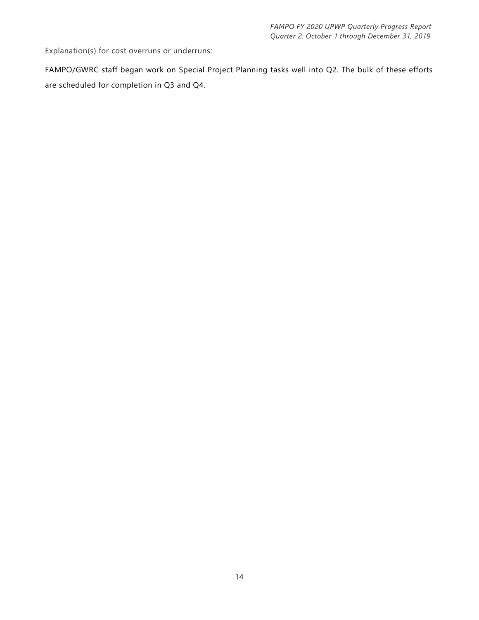Explanation(s) for cost overruns or underruns:

FAMPO/GWRC staff began work on Special Project Planning tasks well into Q2. The bulk of these efforts are scheduled for completion in Q3 and Q4.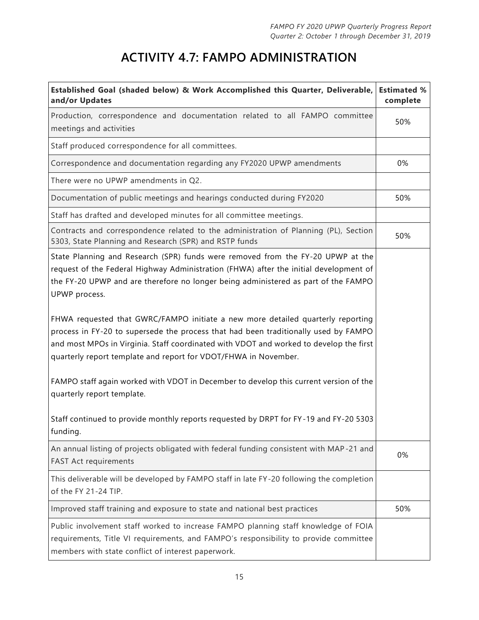# **ACTIVITY 4.7: FAMPO ADMINISTRATION**

| Established Goal (shaded below) & Work Accomplished this Quarter, Deliverable,<br>and/or Updates                                                                                                                                                                                                                                                                                                                                                                                                                                                                                                                                                                                                                                                                                                                                                   | <b>Estimated %</b><br>complete |
|----------------------------------------------------------------------------------------------------------------------------------------------------------------------------------------------------------------------------------------------------------------------------------------------------------------------------------------------------------------------------------------------------------------------------------------------------------------------------------------------------------------------------------------------------------------------------------------------------------------------------------------------------------------------------------------------------------------------------------------------------------------------------------------------------------------------------------------------------|--------------------------------|
| Production, correspondence and documentation related to all FAMPO committee<br>meetings and activities                                                                                                                                                                                                                                                                                                                                                                                                                                                                                                                                                                                                                                                                                                                                             | 50%                            |
| Staff produced correspondence for all committees.                                                                                                                                                                                                                                                                                                                                                                                                                                                                                                                                                                                                                                                                                                                                                                                                  |                                |
| Correspondence and documentation regarding any FY2020 UPWP amendments                                                                                                                                                                                                                                                                                                                                                                                                                                                                                                                                                                                                                                                                                                                                                                              | 0%                             |
| There were no UPWP amendments in Q2.                                                                                                                                                                                                                                                                                                                                                                                                                                                                                                                                                                                                                                                                                                                                                                                                               |                                |
| Documentation of public meetings and hearings conducted during FY2020                                                                                                                                                                                                                                                                                                                                                                                                                                                                                                                                                                                                                                                                                                                                                                              | 50%                            |
| Staff has drafted and developed minutes for all committee meetings.                                                                                                                                                                                                                                                                                                                                                                                                                                                                                                                                                                                                                                                                                                                                                                                |                                |
| Contracts and correspondence related to the administration of Planning (PL), Section<br>5303, State Planning and Research (SPR) and RSTP funds                                                                                                                                                                                                                                                                                                                                                                                                                                                                                                                                                                                                                                                                                                     | 50%                            |
| State Planning and Research (SPR) funds were removed from the FY-20 UPWP at the<br>request of the Federal Highway Administration (FHWA) after the initial development of<br>the FY-20 UPWP and are therefore no longer being administered as part of the FAMPO<br>UPWP process.<br>FHWA requested that GWRC/FAMPO initiate a new more detailed quarterly reporting<br>process in FY-20 to supersede the process that had been traditionally used by FAMPO<br>and most MPOs in Virginia. Staff coordinated with VDOT and worked to develop the first<br>quarterly report template and report for VDOT/FHWA in November.<br>FAMPO staff again worked with VDOT in December to develop this current version of the<br>quarterly report template.<br>Staff continued to provide monthly reports requested by DRPT for FY-19 and FY-20 5303<br>funding. |                                |
| An annual listing of projects obligated with federal funding consistent with MAP-21 and<br><b>FAST Act requirements</b>                                                                                                                                                                                                                                                                                                                                                                                                                                                                                                                                                                                                                                                                                                                            | 0%                             |
| This deliverable will be developed by FAMPO staff in late FY-20 following the completion<br>of the FY 21-24 TIP.                                                                                                                                                                                                                                                                                                                                                                                                                                                                                                                                                                                                                                                                                                                                   |                                |
| Improved staff training and exposure to state and national best practices                                                                                                                                                                                                                                                                                                                                                                                                                                                                                                                                                                                                                                                                                                                                                                          | 50%                            |
| Public involvement staff worked to increase FAMPO planning staff knowledge of FOIA<br>requirements, Title VI requirements, and FAMPO's responsibility to provide committee<br>members with state conflict of interest paperwork.                                                                                                                                                                                                                                                                                                                                                                                                                                                                                                                                                                                                                   |                                |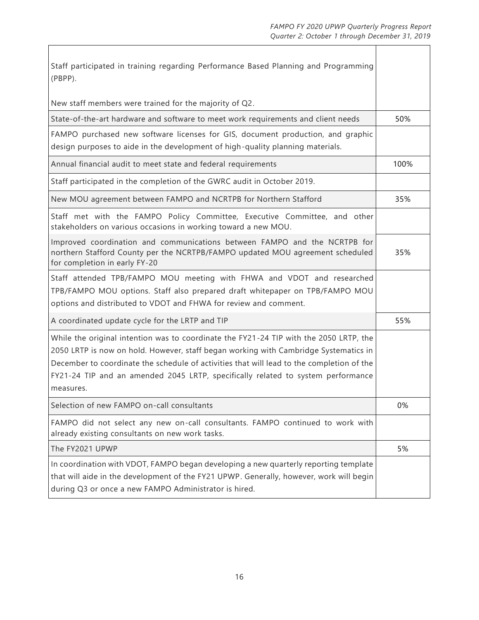$\overline{\phantom{a}}$ 

| Staff participated in training regarding Performance Based Planning and Programming<br>(PBPP).                                                                                                                                                                                                                                                                               |      |
|------------------------------------------------------------------------------------------------------------------------------------------------------------------------------------------------------------------------------------------------------------------------------------------------------------------------------------------------------------------------------|------|
| New staff members were trained for the majority of Q2.                                                                                                                                                                                                                                                                                                                       |      |
| State-of-the-art hardware and software to meet work requirements and client needs                                                                                                                                                                                                                                                                                            | 50%  |
| FAMPO purchased new software licenses for GIS, document production, and graphic<br>design purposes to aide in the development of high-quality planning materials.                                                                                                                                                                                                            |      |
| Annual financial audit to meet state and federal requirements                                                                                                                                                                                                                                                                                                                | 100% |
| Staff participated in the completion of the GWRC audit in October 2019.                                                                                                                                                                                                                                                                                                      |      |
| New MOU agreement between FAMPO and NCRTPB for Northern Stafford                                                                                                                                                                                                                                                                                                             | 35%  |
| Staff met with the FAMPO Policy Committee, Executive Committee, and other<br>stakeholders on various occasions in working toward a new MOU.                                                                                                                                                                                                                                  |      |
| Improved coordination and communications between FAMPO and the NCRTPB for<br>northern Stafford County per the NCRTPB/FAMPO updated MOU agreement scheduled<br>for completion in early FY-20                                                                                                                                                                                  | 35%  |
| Staff attended TPB/FAMPO MOU meeting with FHWA and VDOT and researched<br>TPB/FAMPO MOU options. Staff also prepared draft whitepaper on TPB/FAMPO MOU<br>options and distributed to VDOT and FHWA for review and comment.                                                                                                                                                   |      |
| A coordinated update cycle for the LRTP and TIP                                                                                                                                                                                                                                                                                                                              | 55%  |
| While the original intention was to coordinate the FY21-24 TIP with the 2050 LRTP, the<br>2050 LRTP is now on hold. However, staff began working with Cambridge Systematics in<br>December to coordinate the schedule of activities that will lead to the completion of the<br>FY21-24 TIP and an amended 2045 LRTP, specifically related to system performance<br>measures. |      |
| Selection of new FAMPO on-call consultants                                                                                                                                                                                                                                                                                                                                   | 0%   |
| FAMPO did not select any new on-call consultants. FAMPO continued to work with<br>already existing consultants on new work tasks.                                                                                                                                                                                                                                            |      |
| The FY2021 UPWP                                                                                                                                                                                                                                                                                                                                                              | 5%   |
| In coordination with VDOT, FAMPO began developing a new quarterly reporting template<br>that will aide in the development of the FY21 UPWP. Generally, however, work will begin<br>during Q3 or once a new FAMPO Administrator is hired.                                                                                                                                     |      |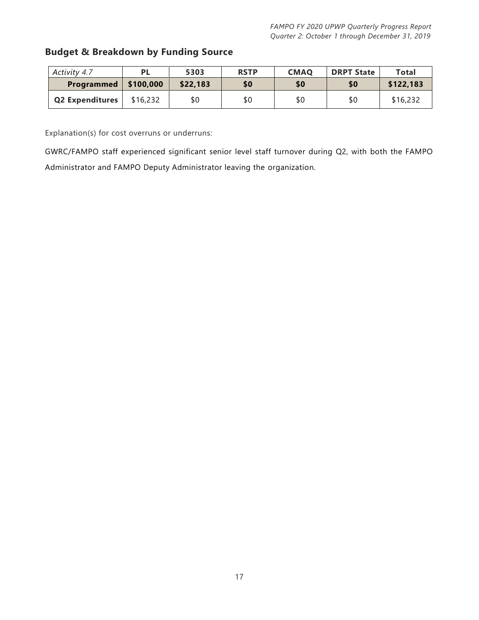#### **Budget & Breakdown by Funding Source**

| Activity 4.7           |           | 5303     | <b>RSTP</b> | <b>CMAQ</b> | <b>DRPT State</b> | Total     |
|------------------------|-----------|----------|-------------|-------------|-------------------|-----------|
| Programmed             | \$100,000 | \$22,183 | \$0         | \$0         | \$0               | \$122,183 |
| <b>Q2 Expenditures</b> | \$16,232  | \$0      | \$0         | \$0         | \$0               | \$16,232  |

Explanation(s) for cost overruns or underruns:

GWRC/FAMPO staff experienced significant senior level staff turnover during Q2, with both the FAMPO Administrator and FAMPO Deputy Administrator leaving the organization.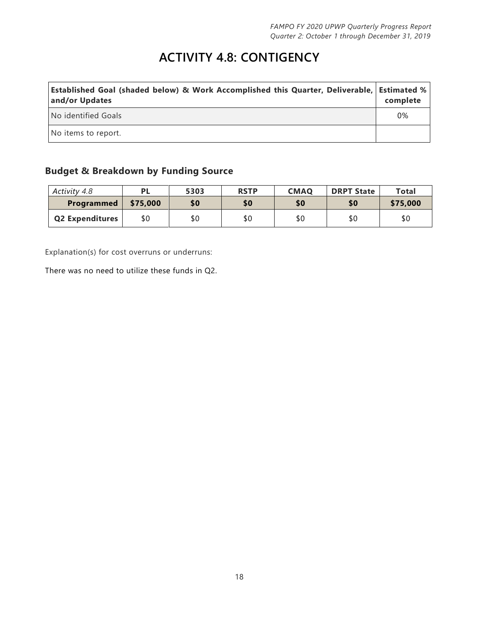### **ACTIVITY 4.8: CONTIGENCY**

| Established Goal (shaded below) & Work Accomplished this Quarter, Deliverable,   Estimated %  <br>and/or Updates | complete |
|------------------------------------------------------------------------------------------------------------------|----------|
| No identified Goals                                                                                              | 0%       |
| No items to report.                                                                                              |          |

#### **Budget & Breakdown by Funding Source**

| Activity 4.8           |          | 5303 | <b>RSTP</b> | <b>CMAQ</b> | <b>DRPT State</b> | Total    |
|------------------------|----------|------|-------------|-------------|-------------------|----------|
| Programmed             | \$75,000 | \$0  | \$0         | \$0         | \$0               | \$75,000 |
| <b>Q2 Expenditures</b> | \$0      | \$0  | \$0         | \$0         | \$0               | \$0      |

Explanation(s) for cost overruns or underruns:

There was no need to utilize these funds in Q2.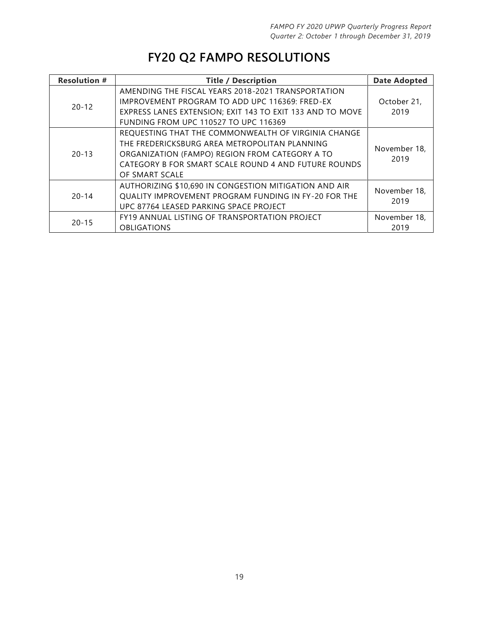### **FY20 Q2 FAMPO RESOLUTIONS**

| <b>Resolution #</b> | <b>Title / Description</b>                                | <b>Date Adopted</b>  |  |  |
|---------------------|-----------------------------------------------------------|----------------------|--|--|
| $20 - 12$           | AMENDING THE FISCAL YEARS 2018-2021 TRANSPORTATION        | October 21,          |  |  |
|                     | <b>IMPROVEMENT PROGRAM TO ADD UPC 116369: FRED-EX</b>     |                      |  |  |
|                     | EXPRESS LANES EXTENSION; EXIT 143 TO EXIT 133 AND TO MOVE | 2019                 |  |  |
|                     | <b>FUNDING FROM UPC 110527 TO UPC 116369</b>              |                      |  |  |
| $20 - 13$           | REQUESTING THAT THE COMMONWEALTH OF VIRGINIA CHANGE       |                      |  |  |
|                     | THE FREDERICKSBURG AREA METROPOLITAN PLANNING             |                      |  |  |
|                     | ORGANIZATION (FAMPO) REGION FROM CATEGORY A TO            | November 18,<br>2019 |  |  |
|                     | CATEGORY B FOR SMART SCALE ROUND 4 AND FUTURE ROUNDS      |                      |  |  |
|                     | OF SMART SCALE                                            |                      |  |  |
| $20 - 14$           | AUTHORIZING \$10,690 IN CONGESTION MITIGATION AND AIR     | November 18,<br>2019 |  |  |
|                     | QUALITY IMPROVEMENT PROGRAM FUNDING IN FY-20 FOR THE      |                      |  |  |
|                     | UPC 87764 LEASED PARKING SPACE PROJECT                    |                      |  |  |
| $20 - 15$           | FY19 ANNUAL LISTING OF TRANSPORTATION PROJECT             | November 18.         |  |  |
|                     | <b>OBLIGATIONS</b>                                        | 2019                 |  |  |